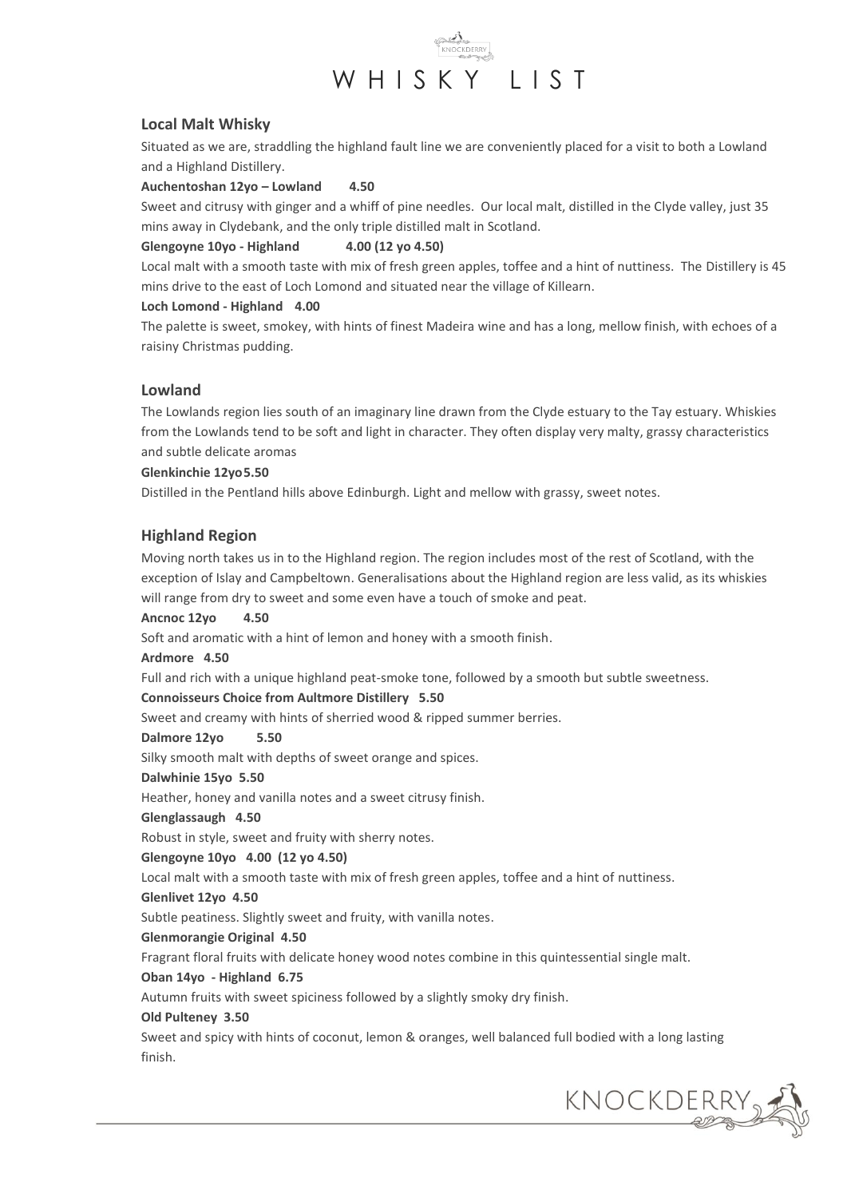

## **Local Malt Whisky**

Situated as we are, straddling the highland fault line we are conveniently placed for a visit to both a Lowland and a Highland Distillery.

**Auchentoshan 12yo – Lowland 4.50**

Sweet and citrusy with ginger and a whiff of pine needles. Our local malt, distilled in the Clyde valley, just 35 mins away in Clydebank, and the only triple distilled malt in Scotland.

## **Glengoyne 10yo - Highland 4.00 (12 yo 4.50)**

Local malt with a smooth taste with mix of fresh green apples, toffee and a hint of nuttiness. The Distillery is 45 mins drive to the east of Loch Lomond and situated near the village of Killearn.

## **Loch Lomond - Highland 4.00**

The palette is sweet, smokey, with hints of finest Madeira wine and has a long, mellow finish, with echoes of a raisiny Christmas pudding.

## **Lowland**

The Lowlands region lies south of an imaginary line drawn from the Clyde estuary to the Tay estuary. Whiskies from the Lowlands tend to be soft and light in character. They often display very malty, grassy characteristics and subtle delicate aromas

## **Glenkinchie 12yo5.50**

Distilled in the Pentland hills above Edinburgh. Light and mellow with grassy, sweet notes.

# **Highland Region**

Moving north takes us in to the Highland region. The region includes most of the rest of Scotland, with the exception of Islay and Campbeltown. Generalisations about the Highland region are less valid, as its whiskies will range from dry to sweet and some even have a touch of smoke and peat.

## **Ancnoc 12yo 4.50**

Soft and aromatic with a hint of lemon and honey with a smooth finish.

## **Ardmore 4.50**

Full and rich with a unique highland peat-smoke tone, followed by a smooth but subtle sweetness.

## **Connoisseurs Choice from Aultmore Distillery 5.50**

Sweet and creamy with hints of sherried wood & ripped summer berries.

## **Dalmore 12yo 5.50**

Silky smooth malt with depths of sweet orange and spices.

## **Dalwhinie 15yo 5.50**

Heather, honey and vanilla notes and a sweet citrusy finish.

## **Glenglassaugh 4.50**

Robust in style, sweet and fruity with sherry notes.

## **Glengoyne 10yo 4.00 (12 yo 4.50)**

Local malt with a smooth taste with mix of fresh green apples, toffee and a hint of nuttiness.

## **Glenlivet 12yo 4.50**

Subtle peatiness. Slightly sweet and fruity, with vanilla notes.

## **Glenmorangie Original 4.50**

Fragrant floral fruits with delicate honey wood notes combine in this quintessential single malt.

## **Oban 14yo - Highland 6.75**

Autumn fruits with sweet spiciness followed by a slightly smoky dry finish.

## **Old Pulteney 3.50**

Sweet and spicy with hints of coconut, lemon & oranges, well balanced full bodied with a long lasting finish.